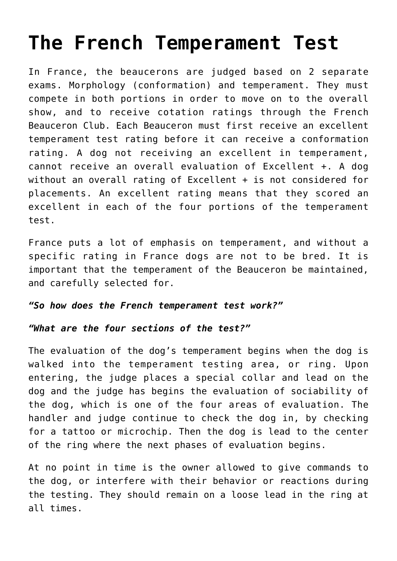## **[The French Temperament Test](https://beauce.org/2018/04/the-french-temperament-test/)**

In France, the beaucerons are judged based on 2 separate exams. Morphology (conformation) and temperament. They must compete in both portions in order to move on to the overall show, and to receive cotation ratings through the French Beauceron Club. Each Beauceron must first receive an excellent temperament test rating before it can receive a conformation rating. A dog not receiving an excellent in temperament, cannot receive an overall evaluation of Excellent +. A dog without an overall rating of Excellent + is not considered for placements. An excellent rating means that they scored an excellent in each of the four portions of the temperament test.

France puts a lot of emphasis on temperament, and without a specific rating in France dogs are not to be bred. It is important that the temperament of the Beauceron be maintained, and carefully selected for.

## *"So how does the French temperament test work?"*

## *"What are the four sections of the test?"*

The evaluation of the dog's temperament begins when the dog is walked into the temperament testing area, or ring. Upon entering, the judge places a special collar and lead on the dog and the judge has begins the evaluation of sociability of the dog, which is one of the four areas of evaluation. The handler and judge continue to check the dog in, by checking for a tattoo or microchip. Then the dog is lead to the center of the ring where the next phases of evaluation begins.

At no point in time is the owner allowed to give commands to the dog, or interfere with their behavior or reactions during the testing. They should remain on a loose lead in the ring at all times.